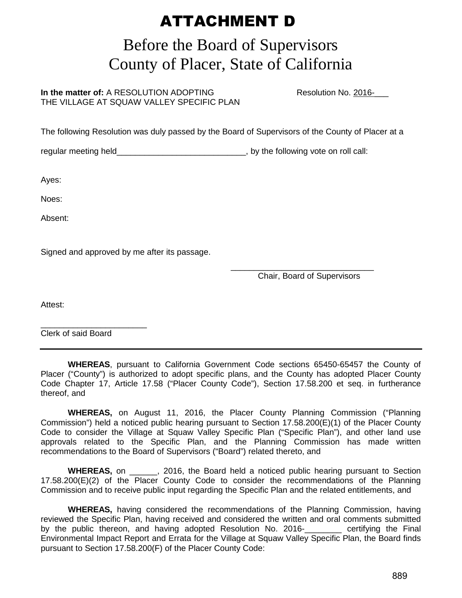## ATTACHMENT D

## Before the Board of Supervisors County of Placer, State of California

**In the matter of:** A RESOLUTION ADOPTING Resolution No. 2016-THE VILLAGE AT SQUAW VALLEY SPECIFIC PLAN

The following Resolution was duly passed by the Board of Supervisors of the County of Placer at a

regular meeting held\_\_\_\_\_\_\_\_\_\_\_\_\_\_\_\_\_\_\_\_\_\_\_\_\_\_\_\_\_\_\_, by the following vote on roll call:

Ayes:

Noes:

Absent:

Signed and approved by me after its passage.

 $\overline{\phantom{a}}$  , and the contract of the contract of the contract of the contract of the contract of the contract of the contract of the contract of the contract of the contract of the contract of the contract of the contrac Chair, Board of Supervisors

Attest:

\_\_\_\_\_\_\_\_\_\_\_\_\_\_\_\_\_\_\_\_\_\_\_ Clerk of said Board

 **WHEREAS**, pursuant to California Government Code sections 65450-65457 the County of Placer ("County") is authorized to adopt specific plans, and the County has adopted Placer County Code Chapter 17, Article 17.58 ("Placer County Code"), Section 17.58.200 et seq. in furtherance thereof, and

 **WHEREAS,** on August 11, 2016, the Placer County Planning Commission ("Planning Commission") held a noticed public hearing pursuant to Section 17.58.200(E)(1) of the Placer County Code to consider the Village at Squaw Valley Specific Plan ("Specific Plan"), and other land use approvals related to the Specific Plan, and the Planning Commission has made written recommendations to the Board of Supervisors ("Board") related thereto, and

**WHEREAS,** on  $\overline{a}$ , 2016, the Board held a noticed public hearing pursuant to Section 17.58.200(E)(2) of the Placer County Code to consider the recommendations of the Planning Commission and to receive public input regarding the Specific Plan and the related entitlements, and

 **WHEREAS,** having considered the recommendations of the Planning Commission, having reviewed the Specific Plan, having received and considered the written and oral comments submitted by the public thereon, and having adopted Resolution No. 2016- certifying the Final Environmental Impact Report and Errata for the Village at Squaw Valley Specific Plan, the Board finds pursuant to Section 17.58.200(F) of the Placer County Code: